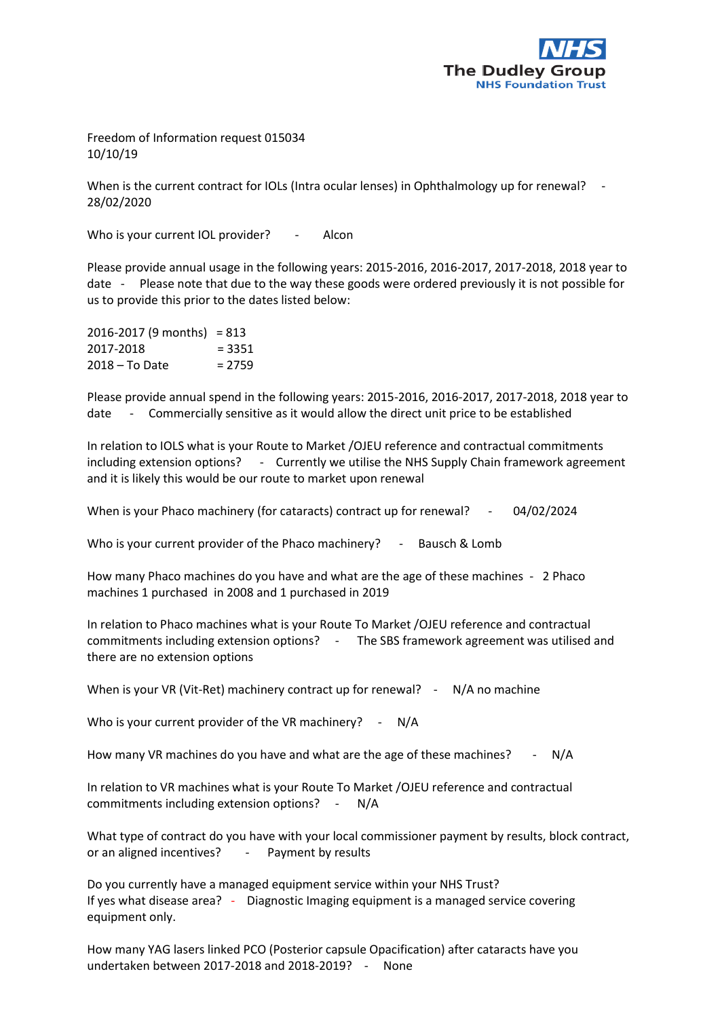

Freedom of Information request 015034 10/10/19

When is the current contract for IOLs (Intra ocular lenses) in Ophthalmology up for renewal? 28/02/2020

Who is your current IOL provider? - Alcon

Please provide annual usage in the following years: 2015-2016, 2016-2017, 2017-2018, 2018 year to date - Please note that due to the way these goods were ordered previously it is not possible for us to provide this prior to the dates listed below:

| $2016 - 2017$ (9 months) = 813 |          |
|--------------------------------|----------|
| 2017-2018                      | $= 3351$ |
| $2018 - To Date$               | $= 2759$ |

Please provide annual spend in the following years: 2015-2016, 2016-2017, 2017-2018, 2018 year to date - Commercially sensitive as it would allow the direct unit price to be established

In relation to IOLS what is your Route to Market /OJEU reference and contractual commitments including extension options? - Currently we utilise the NHS Supply Chain framework agreement and it is likely this would be our route to market upon renewal

When is your Phaco machinery (for cataracts) contract up for renewal? - 04/02/2024

Who is your current provider of the Phaco machinery? - Bausch & Lomb

How many Phaco machines do you have and what are the age of these machines - 2 Phaco machines 1 purchased in 2008 and 1 purchased in 2019

In relation to Phaco machines what is your Route To Market /OJEU reference and contractual commitments including extension options? - The SBS framework agreement was utilised and there are no extension options

When is your VR (Vit-Ret) machinery contract up for renewal? - N/A no machine

Who is your current provider of the VR machinery? - N/A

How many VR machines do you have and what are the age of these machines? - N/A

In relation to VR machines what is your Route To Market /OJEU reference and contractual commitments including extension options? - N/A

What type of contract do you have with your local commissioner payment by results, block contract, or an aligned incentives? - Payment by results

Do you currently have a managed equipment service within your NHS Trust? If yes what disease area? - Diagnostic Imaging equipment is a managed service covering equipment only.

How many YAG lasers linked PCO (Posterior capsule Opacification) after cataracts have you undertaken between 2017-2018 and 2018-2019? - None